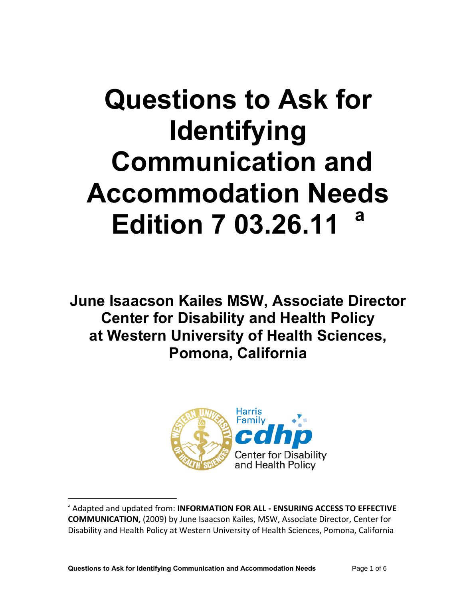# **Questions to Ask for Identifying Communication and Accommodation Needs Edition 7 03.26.11 <sup>a</sup>**

**June Isaacson Kailes MSW, Associate Director Center for Disability and Health Policy at Western University of Health Sciences, Pomona, California** 



<sup>a</sup> Adapted and updated from: **INFORMATION FOR ALL ‐ ENSURING ACCESS TO EFFECTIVE COMMUNICATION,** (2009) by June Isaacson Kailes, MSW, Associate Director, Center for Disability and Health Policy at Western University of Health Sciences, Pomona, California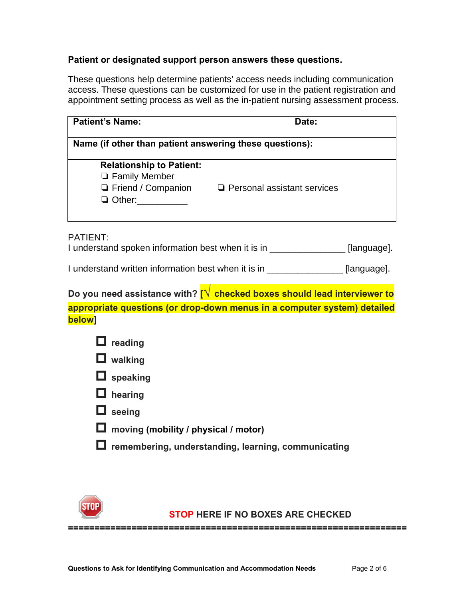#### **Patient or designated support person answers these questions.**

These questions help determine patients' access needs including communication access. These questions can be customized for use in the patient registration and appointment setting process as well as the in-patient nursing assessment process.

| <b>Patient's Name:</b>                                                                                          | Date:                              |            |
|-----------------------------------------------------------------------------------------------------------------|------------------------------------|------------|
| Name (if other than patient answering these questions):                                                         |                                    |            |
| <b>Relationship to Patient:</b><br><b>Example 1</b> Family Member<br>$\Box$ Friend / Companion<br>$\Box$ Other: | $\Box$ Personal assistant services |            |
| <b>PATIENT:</b><br>I understand spoken information best when it is in                                           |                                    | language]. |

I understand written information best when it is in \_\_\_\_\_\_\_\_\_\_\_\_\_\_\_\_\_\_\_[language].

**Do you need assistance with? [√ checked boxes should lead interviewer to appropriate questions (or drop-down menus in a computer system) detailed below]** 

| reading                                             |
|-----------------------------------------------------|
| walking                                             |
| I speaking                                          |
| hearing                                             |
| seeing                                              |
| moving (mobility / physical / motor)                |
| remembering, understanding, learning, communicating |
|                                                     |



**STOP HERE IF NO BOXES ARE CHECKED** 

**================================================================**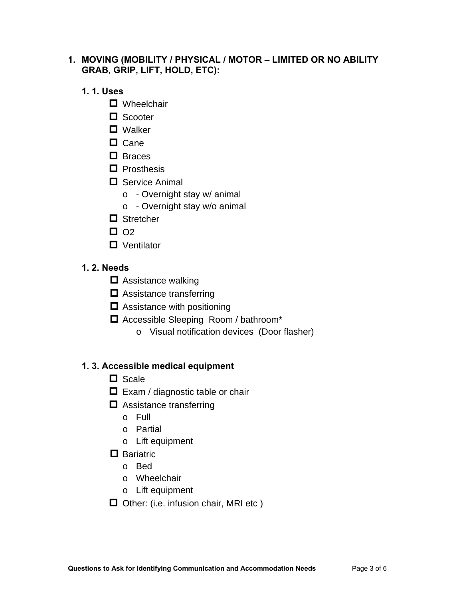#### **1. MOVING (MOBILITY / PHYSICAL / MOTOR – LIMITED OR NO ABILITY GRAB, GRIP, LIFT, HOLD, ETC):**

#### **1. 1. Uses**

- **D** Wheelchair
- Scooter
- **D** Walker
- $\Box$  Cane
- **D** Braces
- $\Box$  Prosthesis
- **□** Service Animal
	- o Overnight stay w/ animal
	- o Overnight stay w/o animal
- **□** Stretcher
- $\Box$  O<sub>2</sub>
- **D** Ventilator

#### **1. 2. Needs**

- Assistance walking
- **□** Assistance transferring
- $\Box$  Assistance with positioning
- Accessible Sleeping Room / bathroom\*
	- o Visual notification devices (Door flasher)

#### **1. 3. Accessible medical equipment**

- $\Box$  Scale
- $\Box$  Exam / diagnostic table or chair
- $\Box$  Assistance transferring
	- o Full
	- o Partial
	- o Lift equipment

#### **D** Bariatric

- o Bed
- o Wheelchair
- o Lift equipment
- $\Box$  Other: (i.e. infusion chair, MRI etc)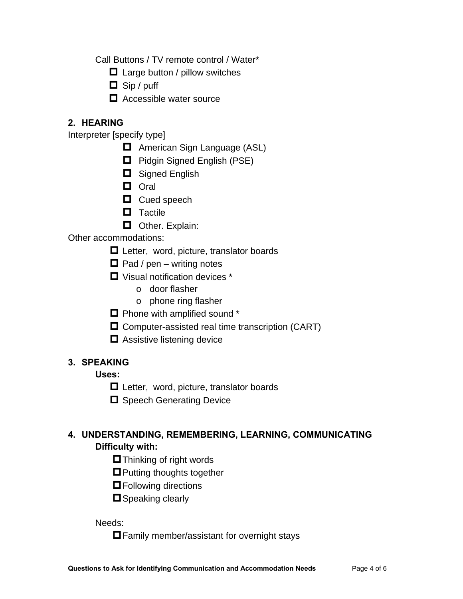Call Buttons / TV remote control / Water\*

- $\Box$  Large button / pillow switches
- $\Box$  Sip / puff
- $\Box$  Accessible water source

# **2. HEARING**

Interpreter [specify type]

- $\Box$  American Sign Language (ASL)
- □ Pidgin Signed English (PSE)
- □ Signed English
- D Oral
- □ Cued speech
- $\Box$  Tactile
- **D** Other. Explain:

Other accommodations:

- **□** Letter, word, picture, translator boards
- $\Box$  Pad / pen writing notes
- Visual notification devices \*
	- o door flasher
	- o phone ring flasher
- $\Box$  Phone with amplified sound  $*$
- $\Box$  Computer-assisted real time transcription (CART)
- $\Box$  Assistive listening device

# **3. SPEAKING**

### **Uses:**

- $\Box$  Letter, word, picture, translator boards
- $\Box$  Speech Generating Device

# **4. UNDERSTANDING, REMEMBERING, LEARNING, COMMUNICATING**

# **Difficulty with:**

- $\blacksquare$  Thinking of right words
- $\blacksquare$  Putting thoughts together
- **D**Following directions
- $\square$  Speaking clearly

### Needs:

 $\Box$  Family member/assistant for overnight stays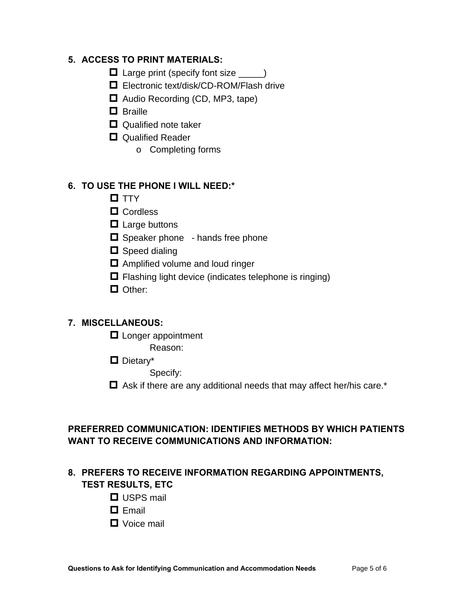# **5. ACCESS TO PRINT MATERIALS:**

- $\Box$  Large print (specify font size  $\rule{1em}{0.15mm}$ )
- Electronic text/disk/CD-ROM/Flash drive
- Audio Recording (CD, MP3, tape)
- **D** Braille
- $\Box$  Qualified note taker
- **Qualified Reader** 
	- o Completing forms

# **6. TO USE THE PHONE I WILL NEED:\***

- $T$ TTY
- □ Cordless
- $\Box$  Large buttons
- $\Box$  Speaker phone hands free phone
- $\square$  Speed dialing
- $\Box$  Amplified volume and loud ringer
- $\Box$  Flashing light device (indicates telephone is ringing)
- **D** Other:

# **7. MISCELLANEOUS:**

- $\Box$  Longer appointment
	- Reason:
- Dietary\*
	- Specify:
- $\Box$  Ask if there are any additional needs that may affect her/his care.\*

# **PREFERRED COMMUNICATION: IDENTIFIES METHODS BY WHICH PATIENTS WANT TO RECEIVE COMMUNICATIONS AND INFORMATION:**

# **8. PREFERS TO RECEIVE INFORMATION REGARDING APPOINTMENTS, TEST RESULTS, ETC**

- **D** USPS mail
- **D** Email
- **D** Voice mail